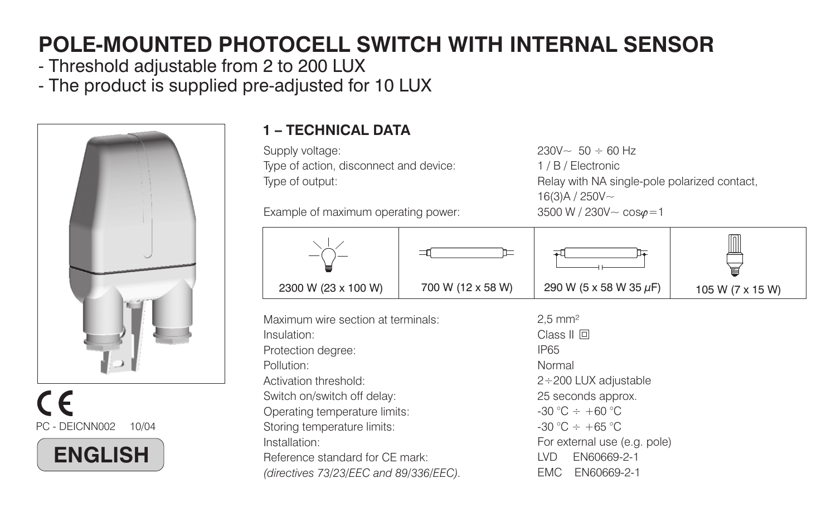# **POLE-MOUNTED PHOTOCELL SWITCH WITH INTERNAL SENSOR**

- Threshold adjustable from 2 to 200 LUX
- The product is supplied pre-adjusted for 10 LUX







#### **1 – TECHNICAL DATA**

Supply voltage: Type of action, disconnect and device: Type of output:

Example of maximum operating power:

 $230V \approx 50 \div 60$  Hz 1 / B / Electronic Relay with NA single-pole polarized contact,  $16(3)A / 250V 3500 \text{ W}$  / 230V  $\sim$  cos $\omega$  = 1



Maximum wire section at terminals:Insulation:Protection degree: Pollution:Activation threshold:Switch on/switch off delay: Operating temperature limits: Storing temperature limits: Installation:Reference standard for CE mark:*(directives 73/23/EEC and 89/336/EEC).*

Class II 回 IP65 Normal2÷200 LUX adjustable 25 seconds approx.  $-30$  °C  $\div$  +60 °C  $-30$  °C  $+ +65$  °C For external use (e.g. pole) LVD EN60669-2-1EMC EN60669-2-12,5 mm²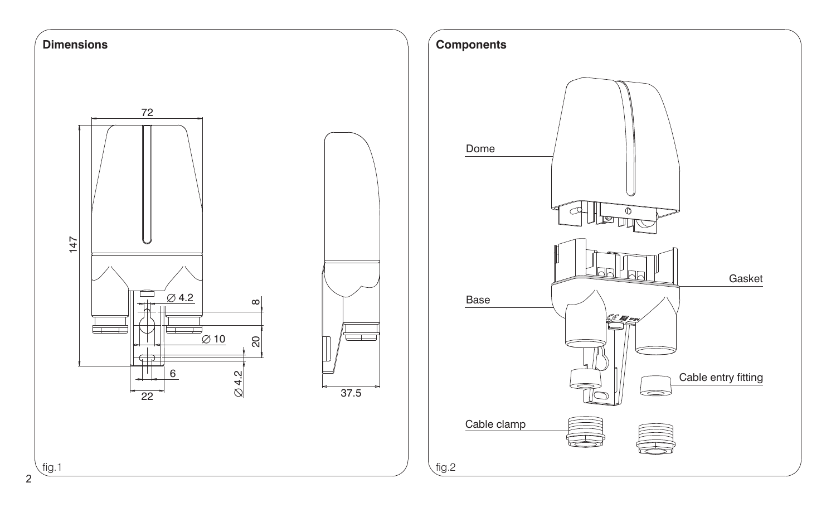

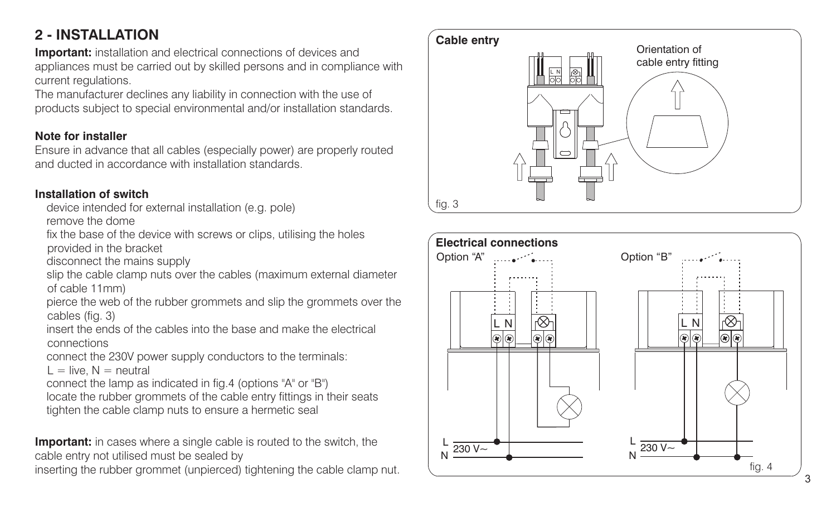# **2 - INSTALLATION**

**Important:** installation and electrical connections of devices and appliances must be carried out by skilled persons and in compliance with current regulations.

The manufacturer declines any liability in connection with the use of products subject to special environmental and/or installation standards.

#### **Note for installer**

Ensure in advance that all cables (especially power) are properly routed and ducted in accordance with installation standards.

#### **Installation of switch**

device intended for external installation (e.g. pole)

remove the dome

fix the base of the device with screws or clips, utilising the holes provided in the bracket

disconnect the mains supply

slip the cable clamp nuts over the cables (maximum external diameter of cable 11mm)

pierce the web of the rubber grommets and slip the grommets over the cables (fig. 3)

insert the ends of the cables into the base and make the electricalconnections

connect the 230V power supply conductors to the terminals:

 $L =$  live,  $N =$  neutral

connect the lamp as indicated in fig.4 (options "A" or "B")

locate the rubber grommets of the cable entry fittings in their seats tighten the cable clamp nuts to ensure a hermetic seal

**Important:** in cases where a single cable is routed to the switch, the cable entry not utilised must be sealed by

inserting the rubber grommet (unpierced) tightening the cable clamp nut.



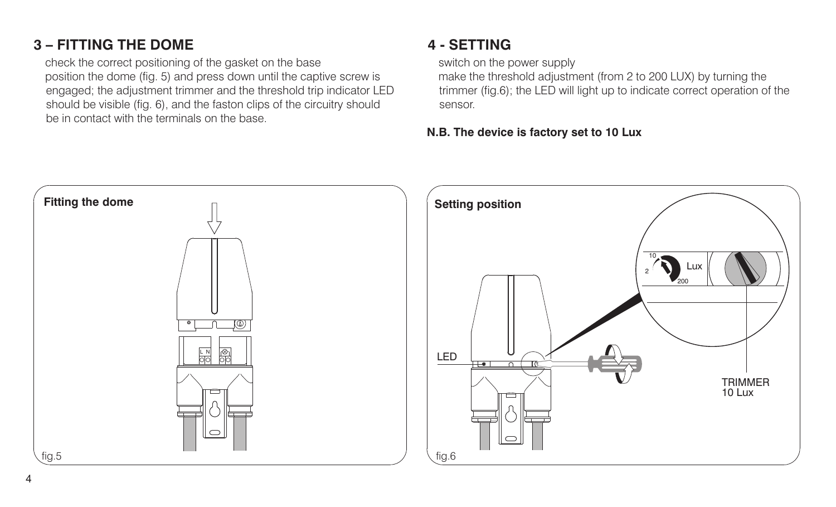## **3 – FITTING THE DOME**

check the correct positioning of the gasket on the base position the dome (fig. 5) and press down until the captive screw is engaged; the adjustment trimmer and the threshold trip indicator LED should be visible (fig. 6), and the faston clips of the circuitry should be in contact with the terminals on the base.

## **4 - SETTING**

switch on the power supply

make the threshold adjustment (from 2 to 200 LUX) by turning the trimmer (fig.6); the LED will light up to indicate correct operation of the sensor.

#### **N.B. The device is factory set to 10 Lux**

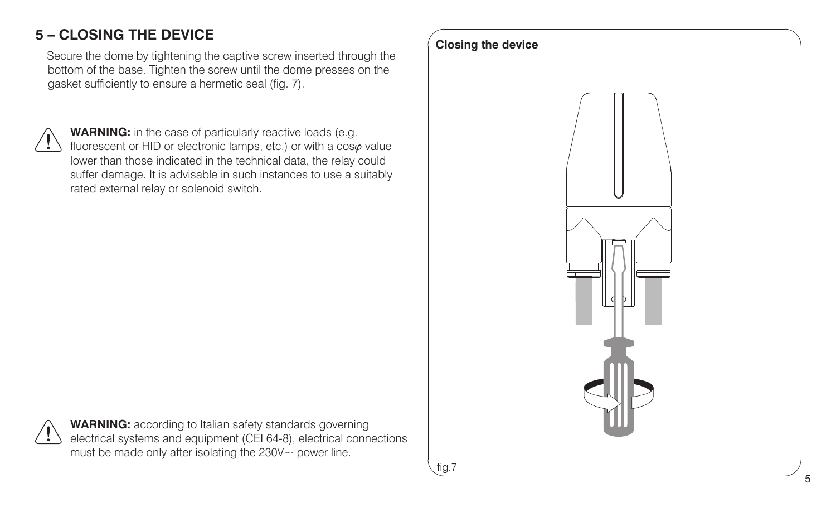# **5 – CLOSING THE DEVICE**

Secure the dome by tightening the captive screw inserted through the bottom of the base. Tighten the screw until the dome presses on the gasket sufficiently to ensure a hermetic seal (fig. 7).

**WARNING:** in the case of particularly reactive loads (e.g. fluorescent or HID or electronic lamps, etc.) or with a  $\cos\varphi$  value lower than those indicated in the technical data, the relay could suffer damage. It is advisable in such instances to use a suitably rated external relay or solenoid switch.

fig.7 **Closing the device**



**WARNING:** according to Italian safety standards governing electrical systems and equipment (CEI 64-8), electrical connections must be made only after isolating the 230V~ power line.